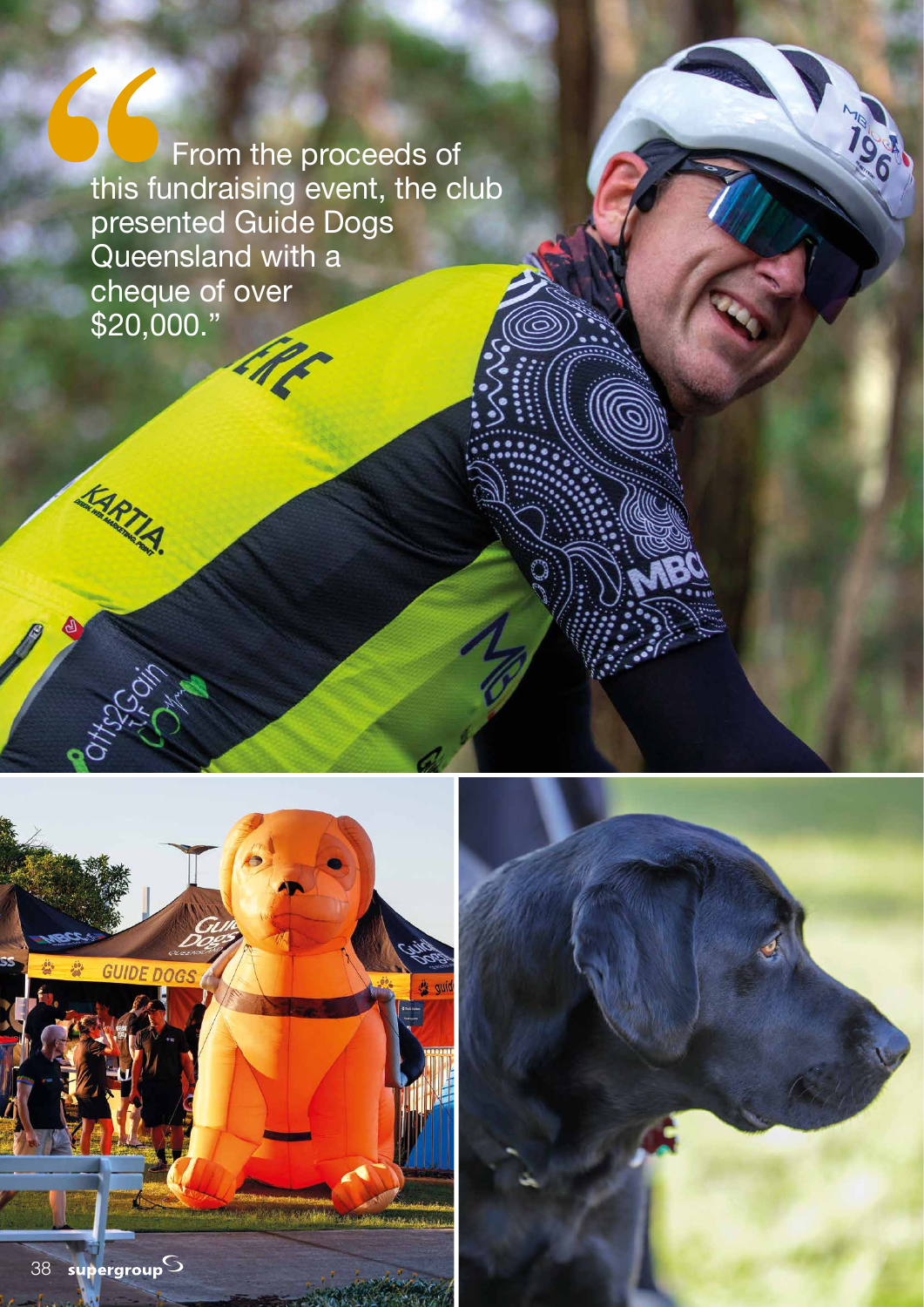From the proceeds of this fundraising event, the club presented Guide Dogs Queensland with a cheque of over \$20,000."



**KARTIA** 



**ANGLIC**